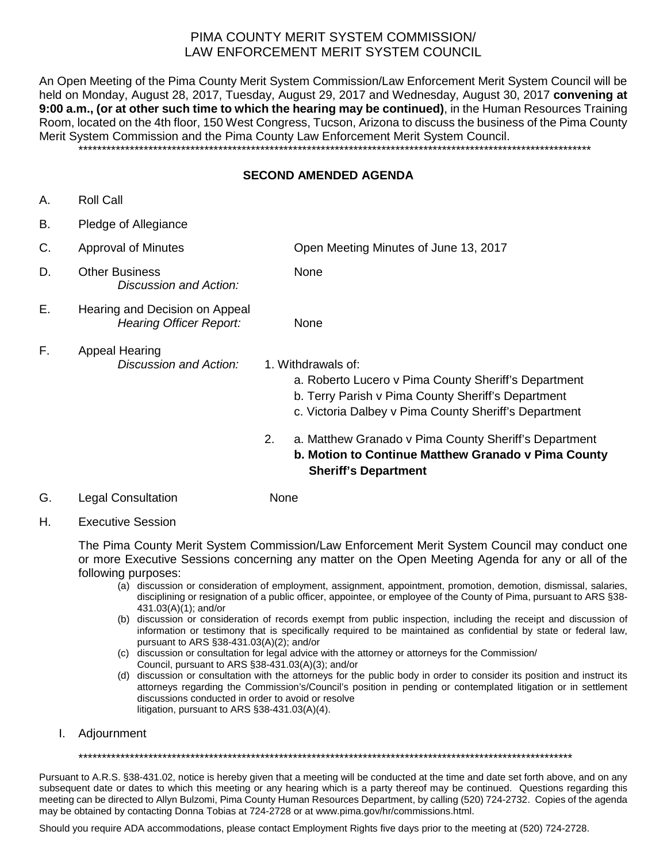# PIMA COUNTY MERIT SYSTEM COMMISSION/ LAW ENFORCEMENT MERIT SYSTEM COUNCIL

An Open Meeting of the Pima County Merit System Commission/Law Enforcement Merit System Council will be held on Monday, August 28, 2017, Tuesday, August 29, 2017 and Wednesday, August 30, 2017 **convening at 9:00 a.m., (or at other such time to which the hearing may be continued)**, in the Human Resources Training Room, located on the 4th floor, 150 West Congress, Tucson, Arizona to discuss the business of the Pima County Merit System Commission and the Pima County Law Enforcement Merit System Council.

\*\*\*\*\*\*\*\*\*\*\*\*\*\*\*\*\*\*\*\*\*\*\*\*\*\*\*\*\*\*\*\*\*\*\*\*\*\*\*\*\*\*\*\*\*\*\*\*\*\*\*\*\*\*\*\*\*\*\*\*\*\*\*\*\*\*\*\*\*\*\*\*\*\*\*\*\*\*\*\*\*\*\*\*\*\*\*\*\*\*\*\*\*\*\*\*\*\*\*\*\*\*\*\*\*\*\*\*\*\*

#### **SECOND AMENDED AGENDA**

- A. Roll Call
- B. Pledge of Allegiance

| C. | <b>Approval of Minutes</b>                                       | Open Meeting Minutes of June 13, 2017                                                                                                                                                     |
|----|------------------------------------------------------------------|-------------------------------------------------------------------------------------------------------------------------------------------------------------------------------------------|
| D. | <b>Other Business</b><br>Discussion and Action:                  | None                                                                                                                                                                                      |
| Е. | Hearing and Decision on Appeal<br><b>Hearing Officer Report:</b> | <b>None</b>                                                                                                                                                                               |
| F. | <b>Appeal Hearing</b><br>Discussion and Action:                  | 1. Withdrawals of:<br>a. Roberto Lucero v Pima County Sheriff's Department<br>b. Terry Parish v Pima County Sheriff's Department<br>c. Victoria Dalbey v Pima County Sheriff's Department |
|    |                                                                  | a. Matthew Granado v Pima County Sheriff's Department<br>2.<br>b. Motion to Continue Matthew Granado v Pima County<br><b>Sheriff's Department</b>                                         |

- G. Legal Consultation None
- H. Executive Session

The Pima County Merit System Commission/Law Enforcement Merit System Council may conduct one or more Executive Sessions concerning any matter on the Open Meeting Agenda for any or all of the following purposes:

- (a) discussion or consideration of employment, assignment, appointment, promotion, demotion, dismissal, salaries, disciplining or resignation of a public officer, appointee, or employee of the County of Pima, pursuant to ARS §38- 431.03(A)(1); and/or
- (b) discussion or consideration of records exempt from public inspection, including the receipt and discussion of information or testimony that is specifically required to be maintained as confidential by state or federal law, pursuant to ARS §38-431.03(A)(2); and/or
- (c) discussion or consultation for legal advice with the attorney or attorneys for the Commission/ Council, pursuant to ARS §38-431.03(A)(3); and/or
- (d) discussion or consultation with the attorneys for the public body in order to consider its position and instruct its attorneys regarding the Commission's/Council's position in pending or contemplated litigation or in settlement discussions conducted in order to avoid or resolve litigation, pursuant to ARS §38-431.03(A)(4).
- I. Adjournment

\*\*\*\*\*\*\*\*\*\*\*\*\*\*\*\*\*\*\*\*\*\*\*\*\*\*\*\*\*\*\*\*\*\*\*\*\*\*\*\*\*\*\*\*\*\*\*\*\*\*\*\*\*\*\*\*\*\*\*\*\*\*\*\*\*\*\*\*\*\*\*\*\*\*\*\*\*\*\*\*\*\*\*\*\*\*\*\*\*\*\*\*\*\*\*\*\*\*\*\*\*\*\*\*\*\*

Pursuant to A.R.S. §38-431.02, notice is hereby given that a meeting will be conducted at the time and date set forth above, and on any subsequent date or dates to which this meeting or any hearing which is a party thereof may be continued. Questions regarding this meeting can be directed to Allyn Bulzomi, Pima County Human Resources Department, by calling (520) 724-2732. Copies of the agenda may be obtained by contacting Donna Tobias at 724-2728 or at www.pima.gov/hr/commissions.html.

Should you require ADA accommodations, please contact Employment Rights five days prior to the meeting at (520) 724-2728.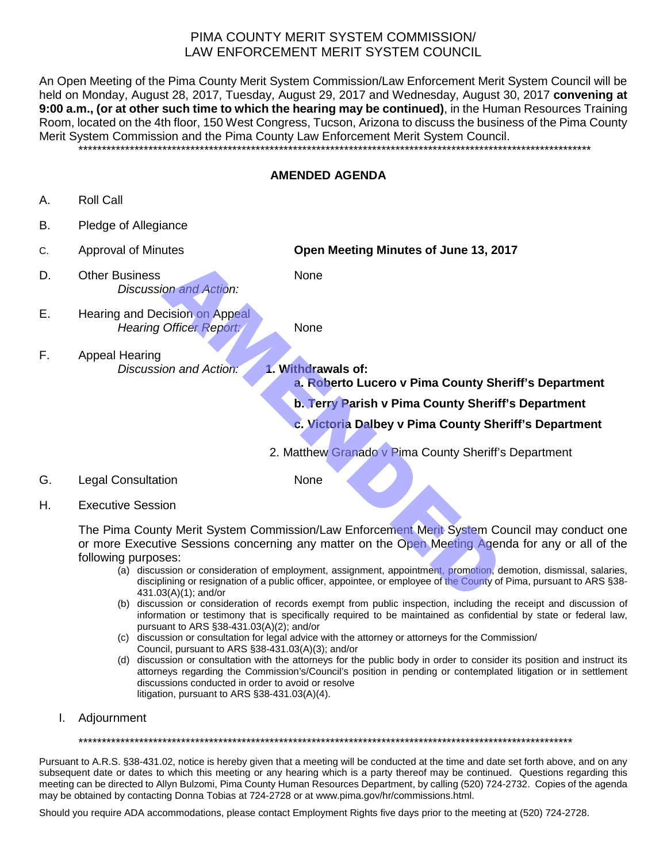# PIMA COUNTY MERIT SYSTEM COMMISSION/ LAW ENFORCEMENT MERIT SYSTEM COUNCIL

An Open Meeting of the Pima County Merit System Commission/Law Enforcement Merit System Council will be held on Monday, August 28, 2017, Tuesday, August 29, 2017 and Wednesday, August 30, 2017 **convening at 9:00 a.m., (or at other such time to which the hearing may be continued)**, in the Human Resources Training Room, located on the 4th floor, 150 West Congress, Tucson, Arizona to discuss the business of the Pima County Merit System Commission and the Pima County Law Enforcement Merit System Council.

\*\*\*\*\*\*\*\*\*\*\*\*\*\*\*\*\*\*\*\*\*\*\*\*\*\*\*\*\*\*\*\*\*\*\*\*\*\*\*\*\*\*\*\*\*\*\*\*\*\*\*\*\*\*\*\*\*\*\*\*\*\*\*\*\*\*\*\*\*\*\*\*\*\*\*\*\*\*\*\*\*\*\*\*\*\*\*\*\*\*\*\*\*\*\*\*\*\*\*\*\*\*\*\*\*\*\*\*\*\*

### **AMENDED AGENDA**

- A. Roll Call
- B. Pledge of Allegiance
- C. Approval of Minutes **Open Meeting Minutes of June 13, 2017** D. Other Business None *Discussion and Action:*
	- E. Hearing and Decision on Appeal *Hearing Officer Report:* None

- F. Appeal Hearing *Discussion and Action:* **1. Withdrawals of:**
	- **a. Roberto Lucero v Pima County Sheriff's Department**
	- **b. Terry Parish v Pima County Sheriff's Department**
	- **c. Victoria Dalbey v Pima County Sheriff's Department**
	- 2. Matthew Granado v Pima County Sheriff's Department
- G. Legal Consultation None

H. Executive Session

The Pima County Merit System Commission/Law Enforcement Merit System Council may conduct one or more Executive Sessions concerning any matter on the Open Meeting Agenda for any or all of the following purposes: None<br>
Contained Action:<br>
Some crision on Appeal<br>
Mone<br>
AMENDED Mone<br>
AMENDED MONETO LIGEND V Pima County Sheriff<br>
C. Victoria Dalbey v Pima County Sheriff<br>
C. Victoria Dalbey v Pima County Sheriff<br>
C. Victoria Dalbey v Pim

- (a) discussion or consideration of employment, assignment, appointment, promotion, demotion, dismissal, salaries, disciplining or resignation of a public officer, appointee, or employee of the County of Pima, pursuant to ARS §38-431.03(A)(1); and/or
- (b) discussion or consideration of records exempt from public inspection, including the receipt and discussion of information or testimony that is specifically required to be maintained as confidential by state or federal law, pursuant to ARS §38-431.03(A)(2); and/or
- (c) discussion or consultation for legal advice with the attorney or attorneys for the Commission/ Council, pursuant to ARS §38-431.03(A)(3); and/or
- (d) discussion or consultation with the attorneys for the public body in order to consider its position and instruct its attorneys regarding the Commission's/Council's position in pending or contemplated litigation or in settlement discussions conducted in order to avoid or resolve litigation, pursuant to ARS §38-431.03(A)(4).
- I. Adjournment

\*\*\*\*\*\*\*\*\*\*\*\*\*\*\*\*\*\*\*\*\*\*\*\*\*\*\*\*\*\*\*\*\*\*\*\*\*\*\*\*\*\*\*\*\*\*\*\*\*\*\*\*\*\*\*\*\*\*\*\*\*\*\*\*\*\*\*\*\*\*\*\*\*\*\*\*\*\*\*\*\*\*\*\*\*\*\*\*\*\*\*\*\*\*\*\*\*\*\*\*\*\*\*\*\*\*

Pursuant to A.R.S. §38-431.02, notice is hereby given that a meeting will be conducted at the time and date set forth above, and on any subsequent date or dates to which this meeting or any hearing which is a party thereof may be continued. Questions regarding this meeting can be directed to Allyn Bulzomi, Pima County Human Resources Department, by calling (520) 724-2732. Copies of the agenda may be obtained by contacting Donna Tobias at 724-2728 or at www.pima.gov/hr/commissions.html.

Should you require ADA accommodations, please contact Employment Rights five days prior to the meeting at (520) 724-2728.